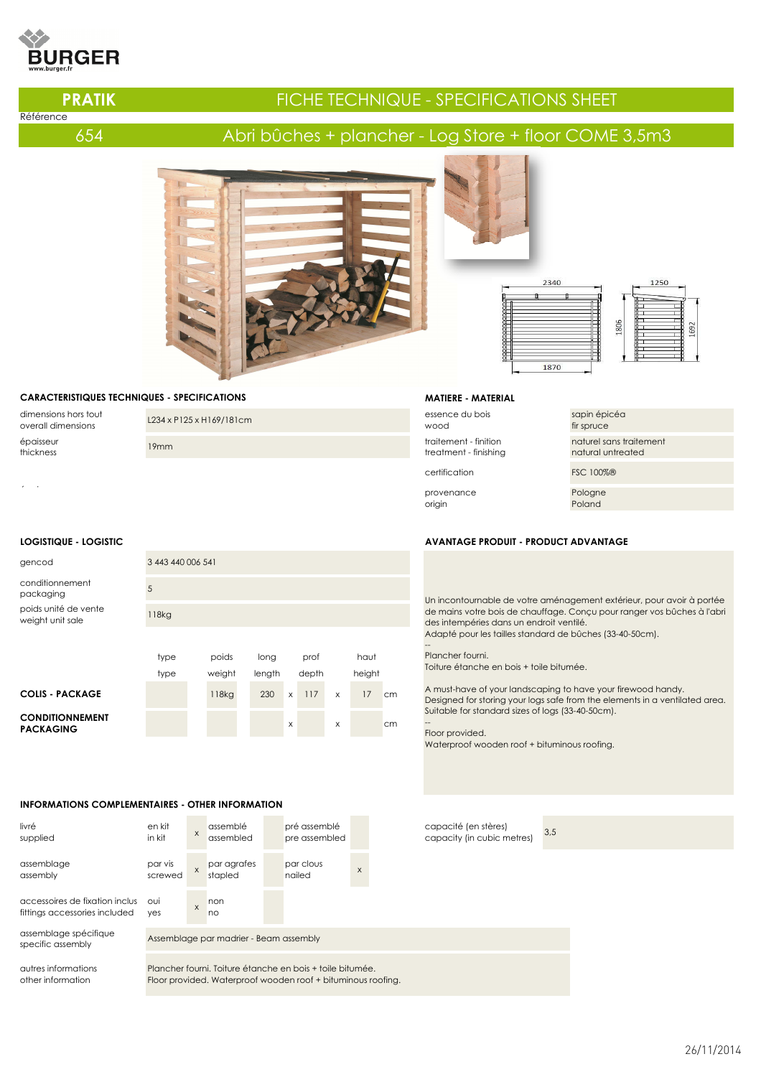# **JRGER**

Référence

# **PRATIK FIGHE TECHNIQUE - SPECIFICATIONS SHEET**

## 654 Abri bûches + plancher - Log Store + floor COME 3,5m3



## **CARACTERISTIQUES TECHNIQUES - SPECIFICATIONS**

dimensions hors tout épaisseur<br>thickness

dimensions hors tout <br>overall dimensions L234 x P125 x H169/181cm essence du bois essence du bois experience du bois experience du<br>mod thickness 19mm traitement - finition

éparaiseur provenance de la provenance de la provenance de la provenance de la provenance de la provenance de la provenance de la provenance de la provenance de la provenance de la provenance de la provenance de la provena

| gencod                                     | 3 443 440 006 541 |  |        |  |        |   |       |   |        |    |  |
|--------------------------------------------|-------------------|--|--------|--|--------|---|-------|---|--------|----|--|
| conditionnement<br>packaging               | 5                 |  |        |  |        |   |       |   |        |    |  |
| poids unité de vente<br>weight unit sale   | 118kg             |  |        |  |        |   |       |   |        |    |  |
|                                            |                   |  |        |  |        |   |       |   |        |    |  |
|                                            | type              |  | poids  |  | long   |   | prof  |   | haut   |    |  |
|                                            | type              |  | weight |  | length |   | depth |   | height |    |  |
| <b>COLIS - PACKAGE</b>                     |                   |  | 118kg  |  | 230    | X | 117   | X | 17     | cm |  |
| <b>CONDITIONNEMENT</b><br><b>PACKAGING</b> |                   |  |        |  |        | X |       | X |        | cm |  |

### **INFORMATIONS COMPLEMENTAIRES - OTHER INFORMATION**





**MATIERE - MATERIAL**

treatment - finishing

wood

origin





sapin épicéa fir spruce naturel sans traitement natural untreated certification FSC 100%® Pologne Poland

#### **LOGISTIQUE - LOGISTIC AVANTAGE PRODUIT - PRODUCT ADVANTAGE**

Un incontournable de votre aménagement extérieur, pour avoir à portée de mains votre bois de chauffage. Conçu pour ranger vos bûches à l'abri des intempéries dans un endroit ventilé. Adapté pour les tailles standard de bûches (33-40-50cm).

-- Plancher fourni. Toiture étanche en bois + toile bitumée.

A must-have of your landscaping to have your firewood handy. Designed for storing your logs safe from the elements in a ventilated area. Suitable for standard sizes of logs (33-40-50cm).

-- Floor provided.

Waterproof wooden roof + bituminous roofing.

26/11/2014